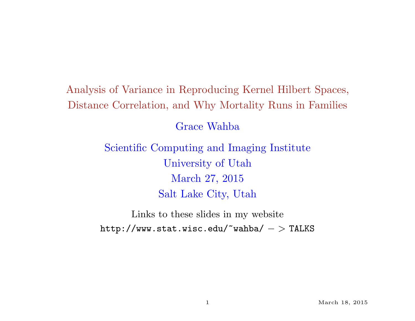## Analysis of Variance in Reproducing Kernel Hilbert Spaces, Distance Correlation, and Why Mortality Runs in Families

Grace Wahba

Scientific Computing and Imaging Institute University of Utah March 27, 2015 Salt Lake City, Utah

Links to these slides in my website  $http://www.stat.wisc.edu/~wahba/~>TLKS$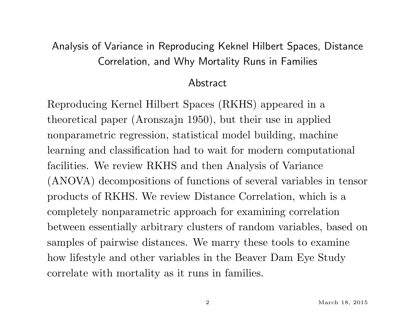## Analysis of Variance in Reproducing Keknel Hilbert Spaces, Distance Correlation, and Why Mortality Runs in Families

#### Abstract

Reproducing Kernel Hilbert Spaces (RKHS) appeared in a theoretical paper (Aronszajn 1950), but their use in applied nonparametric regression, statistical model building, machine learning and classification had to wait for modern computational facilities. We review RKHS and then Analysis of Variance (ANOVA) decompositions of functions of several variables in tensor products of RKHS. We review Distance Correlation, which is a completely nonparametric approach for examining correlation between essentially arbitrary clusters of random variables, based on samples of pairwise distances. We marry these tools to examine how lifestyle and other variables in the Beaver Dam Eye Study correlate with mortality as it runs in families.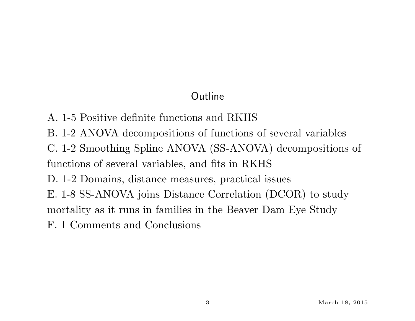## Outline

- A. 1-5 Positive definite functions and RKHS
- B. 1-2 ANOVA decompositions of functions of several variables
- C. 1-2 Smoothing Spline ANOVA (SS-ANOVA) decompositions of functions of several variables, and fits in RKHS
- D. 1-2 Domains, distance measures, practical issues
- E. 1-8 SS-ANOVA joins Distance Correlation (DCOR) to study
- mortality as it runs in families in the Beaver Dam Eye Study
- F. 1 Comments and Conclusions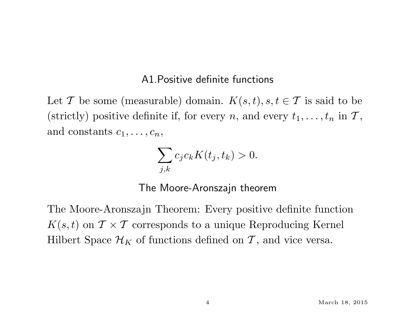#### A1.Positive definite functions

Let T be some (measurable) domain.  $K(s,t)$ ,  $s, t \in \mathcal{T}$  is said to be (strictly) positive definite if, for every *n*, and every  $t_1, \ldots, t_n$  in  $\mathcal{T}$ , and constants  $c_1, \ldots, c_n$ ,

$$
\sum_{j,k} c_j c_k K(t_j, t_k) > 0.
$$

The Moore-Aronszajn theorem

The Moore-Aronszajn Theorem: Every positive definite function  $K(s,t)$  on  $\mathcal{T} \times \mathcal{T}$  corresponds to a unique Reproducing Kernel Hilbert Space  $\mathcal{H}_K$  of functions defined on T, and vice versa.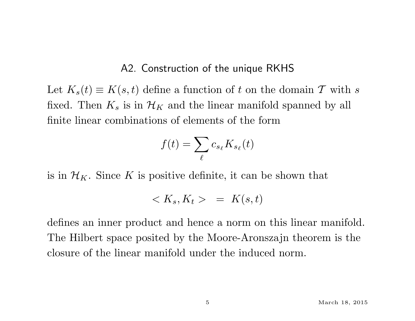#### A2. Construction of the unique RKHS

Let  $K_s(t) \equiv K(s, t)$  define a function of t on the domain T with s fixed. Then  $K_s$  is in  $\mathcal{H}_K$  and the linear manifold spanned by all finite linear combinations of elements of the form

$$
f(t) = \sum_{\ell} c_{s_{\ell}} K_{s_{\ell}}(t)
$$

is in  $\mathcal{H}_K$ . Since K is positive definite, it can be shown that

$$
\langle K_s, K_t \rangle = K(s, t)
$$

defines an inner product and hence a norm on this linear manifold. The Hilbert space posited by the Moore-Aronszajn theorem is the closure of the linear manifold under the induced norm.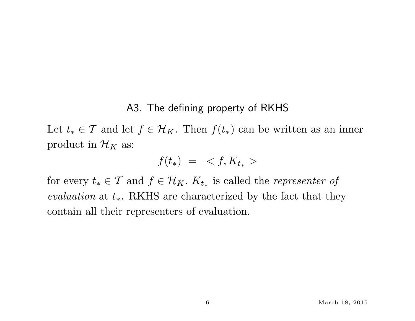#### A3. The defining property of RKHS

Let  $t_* \in \mathcal{T}$  and let  $f \in \mathcal{H}_K$ . Then  $f(t_*)$  can be written as an inner product in  $\mathcal{H}_K$  as:

$$
f(t_*) = \langle f, K_{t_*} \rangle
$$

for every  $t_* \in \mathcal{T}$  and  $f \in \mathcal{H}_K$ .  $K_{t_*}$  is called the *representer of* evaluation at  $t_*$ . RKHS are characterized by the fact that they contain all their representers of evaluation.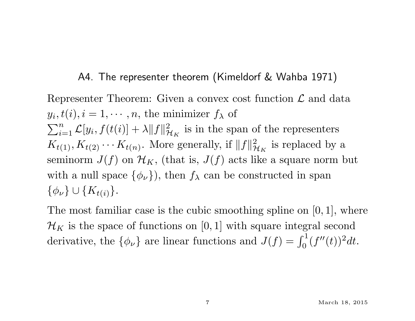#### A4. The representer theorem (Kimeldorf & Wahba 1971)

Representer Theorem: Given a convex cost function  $\mathcal L$  and data  $y_i, t(i), i = 1, \cdots, n$ , the minimizer  $f_\lambda$  of  $\sum_{i=1}^n \mathcal{L}[y_i, f(t(i)) + \lambda ||f||_p^2$  $\mathcal{H}_K$  is in the span of the representers  $K_{t(1)}, K_{t(2)} \cdots K_{t(n)}$ . More generally, if  $||f||_p^2$  $\frac{2}{\mathcal{H}_K}$  is replaced by a seminorm  $J(f)$  on  $\mathcal{H}_K$ , (that is,  $J(f)$  acts like a square norm but with a null space  $\{\phi_{\nu}\}\)$ , then  $f_{\lambda}$  can be constructed in span  $\{\phi_{\nu}\}\cup\{K_{t(i)}\}.$ 

The most familiar case is the cubic smoothing spline on  $[0, 1]$ , where  $\mathcal{H}_K$  is the space of functions on [0, 1] with square integral second derivative, the  $\{\phi_{\nu}\}\$ are linear functions and  $J(f) = \int_0^1 (f''(t))^2 dt$ .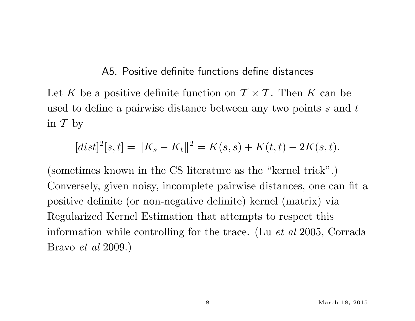#### A5. Positive definite functions define distances

Let K be a positive definite function on  $\mathcal{T} \times \mathcal{T}$ . Then K can be used to define a pairwise distance between any two points s and t in  $\mathcal T$  by

$$
[dist]^2[s,t] = \|K_s - K_t\|^2 = K(s,s) + K(t,t) - 2K(s,t).
$$

(sometimes known in the CS literature as the "kernel trick".) Conversely, given noisy, incomplete pairwise distances, one can fit a positive definite (or non-negative definite) kernel (matrix) via Regularized Kernel Estimation that attempts to respect this information while controlling for the trace. (Lu et al 2005, Corrada Bravo et al 2009.)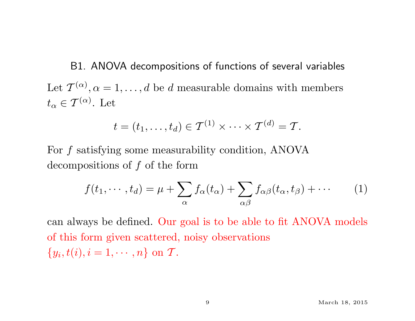B1. ANOVA decompositions of functions of several variables Let  $\mathcal{T}^{(\alpha)}, \alpha = 1, \ldots, d$  be d measurable domains with members  $t_{\alpha} \in \mathcal{T}^{(\alpha)}$ . Let

$$
t=(t_1,\ldots,t_d)\in \mathcal{T}^{(1)}\times\cdots\times \mathcal{T}^{(d)}=\mathcal{T}.
$$

For f satisfying some measurability condition, ANOVA decompositions of  $f$  of the form

$$
f(t_1, \cdots, t_d) = \mu + \sum_{\alpha} f_{\alpha}(t_{\alpha}) + \sum_{\alpha \beta} f_{\alpha \beta}(t_{\alpha}, t_{\beta}) + \cdots
$$
 (1)

can always be defined. Our goal is to be able to fit ANOVA models of this form given scattered, noisy observations  $\{y_i, t(i), i = 1, \cdots, n\}$  on  $\mathcal{T}$ .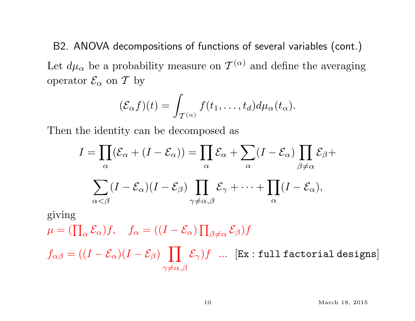B2. ANOVA decompositions of functions of several variables (cont.) Let  $d\mu_{\alpha}$  be a probability measure on  $\mathcal{T}^{(\alpha)}$  and define the averaging operator  $\mathcal{E}_{\alpha}$  on T by

$$
(\mathcal{E}_{\alpha}f)(t)=\int_{\mathcal{T}^{(\alpha)}}f(t_1,\ldots,t_d)d\mu_{\alpha}(t_{\alpha}).
$$

Then the identity can be decomposed as

$$
I = \prod_{\alpha} (\mathcal{E}_{\alpha} + (I - \mathcal{E}_{\alpha})) = \prod_{\alpha} \mathcal{E}_{\alpha} + \sum_{\alpha} (I - \mathcal{E}_{\alpha}) \prod_{\beta \neq \alpha} \mathcal{E}_{\beta} +
$$

$$
\sum_{\alpha < \beta} (I - \mathcal{E}_{\alpha})(I - \mathcal{E}_{\beta}) \prod_{\gamma \neq \alpha, \beta} \mathcal{E}_{\gamma} + \dots + \prod_{\alpha} (I - \mathcal{E}_{\alpha}),
$$

giving  $\mu = (\prod_\alpha \mathcal{E}_\alpha) f, \quad f_\alpha = ((I - \mathcal{E}_\alpha) \prod_{\beta \neq \alpha} \mathcal{E}_\beta) f$  $f_{\alpha\beta} = ((I-\mathcal{E}_\alpha)(I-\mathcal{E}_\beta) \;\;\;\prod\;\; \mathcal{E}_\gamma) f \;\; ... \;\; [\texttt{Ex} : \texttt{full factorial designs}]$  $\gamma \neq \alpha, \beta$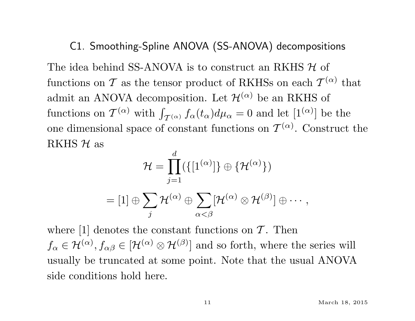#### C1. Smoothing-Spline ANOVA (SS-ANOVA) decompositions

The idea behind SS-ANOVA is to construct an RKHS  $H$  of functions on  $\mathcal T$  as the tensor product of RKHSs on each  $\mathcal T^{(\alpha)}$  that admit an ANOVA decomposition. Let  $\mathcal{H}^{(\alpha)}$  be an RKHS of functions on  $\mathcal{T}^{(\alpha)}$  with  $\int_{\mathcal{T}^{(\alpha)}} f_{\alpha}(t_{\alpha}) d\mu_{\alpha} = 0$  and let  $[1^{(\alpha)}]$  be the one dimensional space of constant functions on  $\mathcal{T}^{(\alpha)}$ . Construct the RKHS  $H$  as

$$
\mathcal{H} = \prod_{j=1}^d (\{ [1^{(\alpha)}] \} \oplus \{ \mathcal{H}^{(\alpha)} \})
$$
  
= [1]  $\oplus \sum_j \mathcal{H}^{(\alpha)} \oplus \sum_{\alpha < \beta} [\mathcal{H}^{(\alpha)} \otimes \mathcal{H}^{(\beta)}] \oplus \cdots,$ 

where  $[1]$  denotes the constant functions on  $\mathcal T$ . Then  $f_{\alpha} \in \mathcal{H}^{(\alpha)}$ ,  $f_{\alpha\beta} \in [\mathcal{H}^{(\alpha)} \otimes \mathcal{H}^{(\beta)}]$  and so forth, where the series will usually be truncated at some point. Note that the usual ANOVA side conditions hold here.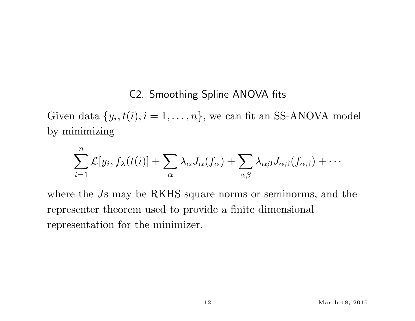#### C2. Smoothing Spline ANOVA fits

Given data  $\{y_i, t(i), i = 1, \ldots, n\}$ , we can fit an SS-ANOVA model by minimizing

$$
\sum_{i=1}^n \mathcal{L}[y_i, f_\lambda(t(i)] + \sum_{\alpha} \lambda_\alpha J_\alpha(f_\alpha) + \sum_{\alpha\beta} \lambda_{\alpha\beta} J_{\alpha\beta}(f_{\alpha\beta}) + \cdots
$$

where the Js may be RKHS square norms or seminorms, and the representer theorem used to provide a finite dimensional representation for the minimizer.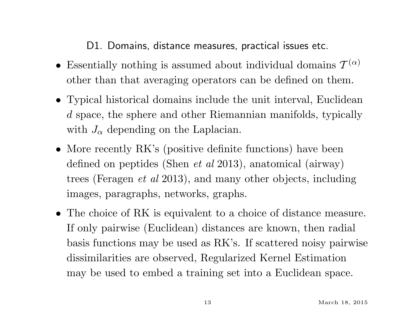D1. Domains, distance measures, practical issues etc.

- Essentially nothing is assumed about individual domains  $\mathcal{T}^{(\alpha)}$ other than that averaging operators can be defined on them.
- Typical historical domains include the unit interval, Euclidean d space, the sphere and other Riemannian manifolds, typically with  $J_{\alpha}$  depending on the Laplacian.
- More recently RK's (positive definite functions) have been defined on peptides (Shen et al 2013), anatomical (airway) trees (Feragen et al 2013), and many other objects, including images, paragraphs, networks, graphs.
- The choice of RK is equivalent to a choice of distance measure. If only pairwise (Euclidean) distances are known, then radial basis functions may be used as RK's. If scattered noisy pairwise dissimilarities are observed, Regularized Kernel Estimation may be used to embed a training set into a Euclidean space.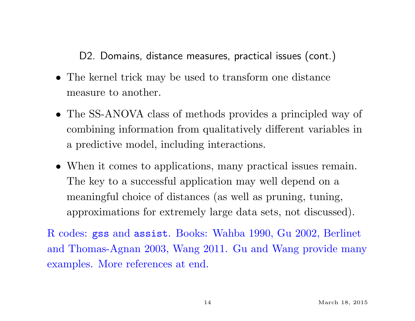D2. Domains, distance measures, practical issues (cont.)

- The kernel trick may be used to transform one distance measure to another.
- The SS-ANOVA class of methods provides a principled way of combining information from qualitatively different variables in a predictive model, including interactions.
- When it comes to applications, many practical issues remain. The key to a successful application may well depend on a meaningful choice of distances (as well as pruning, tuning, approximations for extremely large data sets, not discussed).

R codes: gss and assist. Books: Wahba 1990, Gu 2002, Berlinet and Thomas-Agnan 2003, Wang 2011. Gu and Wang provide many examples. More references at end.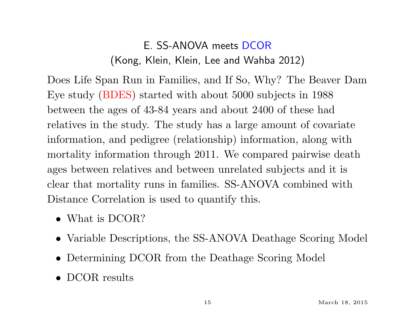## E. SS-ANOVA meets DCOR (Kong, Klein, Klein, Lee and Wahba 2012)

Does Life Span Run in Families, and If So, Why? The Beaver Dam Eye study (BDES) started with about 5000 subjects in 1988 between the ages of 43-84 years and about 2400 of these had relatives in the study. The study has a large amount of covariate information, and pedigree (relationship) information, along with mortality information through 2011. We compared pairwise death ages between relatives and between unrelated subjects and it is clear that mortality runs in families. SS-ANOVA combined with Distance Correlation is used to quantify this.

- What is DCOR?
- Variable Descriptions, the SS-ANOVA Deathage Scoring Model
- Determining DCOR from the Deathage Scoring Model
- DCOR results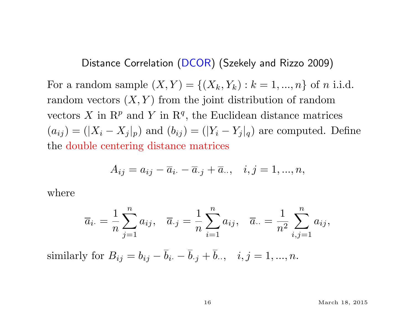Distance Correlation (DCOR) (Szekely and Rizzo 2009)

For a random sample  $(X, Y) = \{(X_k, Y_k) : k = 1, ..., n\}$  of *n* i.i.d. random vectors  $(X, Y)$  from the joint distribution of random vectors X in  $\mathbb{R}^p$  and Y in  $\mathbb{R}^q$ , the Euclidean distance matrices  $(a_{ij}) = (|X_i - X_j|_p)$  and  $(b_{ij}) = (|Y_i - Y_j|_q)$  are computed. Define the double centering distance matrices

$$
A_{ij} = a_{ij} - \overline{a}_{i.} - \overline{a}_{.j} + \overline{a}_{..}, \quad i, j = 1, ..., n,
$$

where

$$
\overline{a}_{i\cdot} = \frac{1}{n} \sum_{j=1}^{n} a_{ij}, \quad \overline{a}_{\cdot j} = \frac{1}{n} \sum_{i=1}^{n} a_{ij}, \quad \overline{a}_{\cdot \cdot} = \frac{1}{n^2} \sum_{i,j=1}^{n} a_{ij},
$$

similarly for  $B_{ij} = b_{ij} - \bar{b}_{i} - \bar{b}_{i} + \bar{b}_{i}$ ,  $i, j = 1, ..., n$ .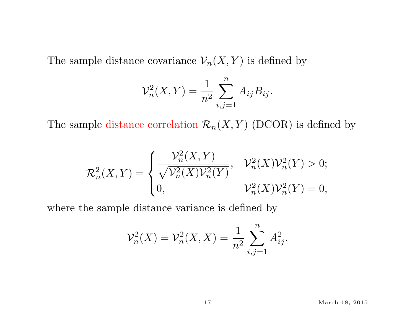The sample distance covariance  $\mathcal{V}_n(X, Y)$  is defined by

$$
\mathcal{V}_n^2(X, Y) = \frac{1}{n^2} \sum_{i,j=1}^n A_{ij} B_{ij}.
$$

The sample distance correlation  $\mathcal{R}_n(X, Y)$  (DCOR) is defined by

$$
\mathcal{R}_n^2(X,Y) = \begin{cases} \frac{\mathcal{V}_n^2(X,Y)}{\sqrt{\mathcal{V}_n^2(X)\mathcal{V}_n^2(Y)}}, & \mathcal{V}_n^2(X)\mathcal{V}_n^2(Y) > 0; \\ 0, & \mathcal{V}_n^2(X)\mathcal{V}_n^2(Y) = 0, \end{cases}
$$

where the sample distance variance is defined by

$$
\mathcal{V}_n^2(X) = \mathcal{V}_n^2(X, X) = \frac{1}{n^2} \sum_{i,j=1}^n A_{ij}^2.
$$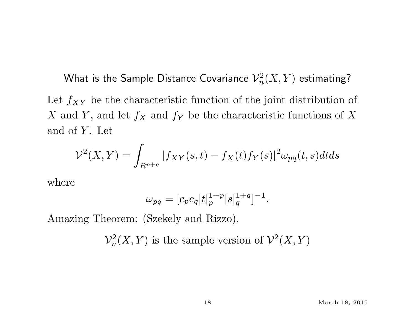What is the Sample Distance Covariance  $\mathcal{V}_n^2$  $\chi^2_n(X,Y)$  estimating? Let  $f_{XY}$  be the characteristic function of the joint distribution of X and Y, and let  $f_X$  and  $f_Y$  be the characteristic functions of X and of  $Y$ . Let

$$
\mathcal{V}^2(X,Y) = \int_{R^{p+q}} |f_{XY}(s,t) - f_X(t)f_Y(s)|^2 \omega_{pq}(t,s)dtds
$$

where

$$
\omega_{pq} = [c_p c_q |t|_p^{1+p} |s|_q^{1+q}]^{-1}.
$$

Amazing Theorem: (Szekely and Rizzo).

 $\mathcal{V}_n^2$  $n^2(X,Y)$  is the sample version of  $\mathcal{V}^2(X,Y)$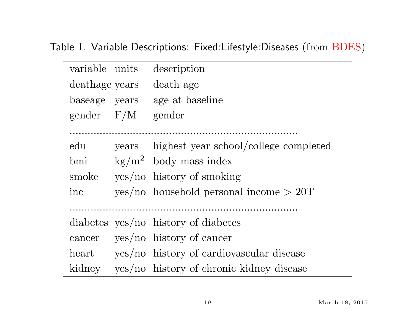Table 1. Variable Descriptions: Fixed:Lifestyle:Diseases (from BDES)

| variable units |       | description                               |
|----------------|-------|-------------------------------------------|
| deathage years |       | death age                                 |
| baseage years  |       | age at baseline                           |
| gender $F/M$   |       | gender                                    |
|                |       |                                           |
| edu            | years | highest year school/college completed     |
| bmi            |       | $\text{kg/m}^2$ body mass index           |
| smoke          |       | $yes/no$ history of smoking               |
| inc            |       | $yes/no$ household personal income $>20T$ |
|                |       |                                           |
|                |       | diabetes yes/no history of diabetes       |
| cancer         |       | $yes/no$ history of cancer                |
| heart          |       | yes/no history of cardiovascular disease  |
| kidney         |       | yes/no history of chronic kidney disease  |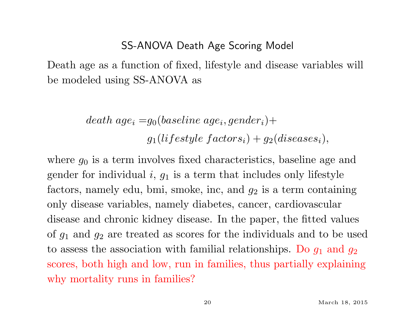#### SS-ANOVA Death Age Scoring Model

Death age as a function of fixed, lifestyle and disease variables will be modeled using SS-ANOVA as

> $\emph{death age}_i = g_0 (baseline age_i, gender_i) +$  $g_1 (liftestyle\:factors_i) + g_2 (discases_i),$

where  $g_0$  is a term involves fixed characteristics, baseline age and gender for individual  $i, g_1$  is a term that includes only lifestyle factors, namely edu, bmi, smoke, inc, and  $g_2$  is a term containing only disease variables, namely diabetes, cancer, cardiovascular disease and chronic kidney disease. In the paper, the fitted values of  $g_1$  and  $g_2$  are treated as scores for the individuals and to be used to assess the association with familial relationships. Do  $g_1$  and  $g_2$ scores, both high and low, run in families, thus partially explaining why mortality runs in families?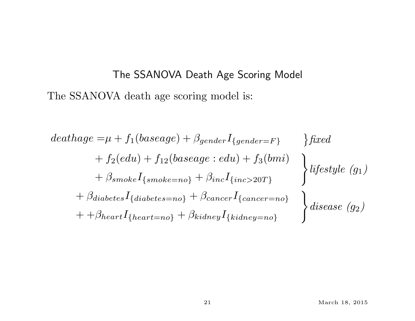# The SSANOVA Death Age Scoring Model The SSANOVA death age scoring model is:

$$
deathage = \mu + f_1(baseage) + \beta_{gender}I_{\{gender=F\}} \} fixed
$$
  
+  $f_2(edu) + f_{12}(baseage:edu) + f_3(bmi)$   
+  $\beta_{smoke}I_{\{smoke=no\}} + \beta_{inc}I_{\{inc>20T\}} \}$   
+  $\beta_{diabetes}I_{\{diabetes=no\}} + \beta_{cancel}I_{\{cancer=no\}} \}$   
+  $\beta_{heart}I_{\{heart=no\}} + \beta_{kidney}I_{\{kidney=no\}} \}$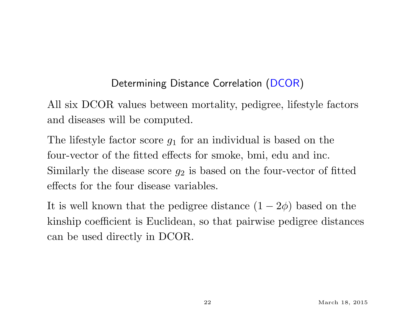### Determining Distance Correlation (DCOR)

All six DCOR values between mortality, pedigree, lifestyle factors and diseases will be computed.

The lifestyle factor score  $g_1$  for an individual is based on the four-vector of the fitted effects for smoke, bmi, edu and inc. Similarly the disease score  $g_2$  is based on the four-vector of fitted effects for the four disease variables.

It is well known that the pedigree distance  $(1 - 2\phi)$  based on the kinship coefficient is Euclidean, so that pairwise pedigree distances can be used directly in DCOR.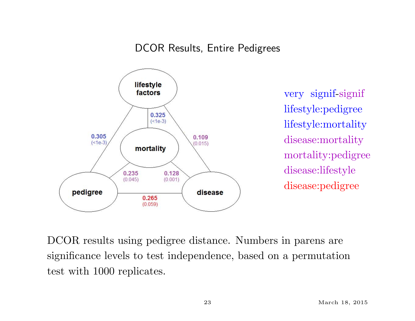#### DCOR Results, Entire Pedigrees



very signif-signif lifestyle:pedigree lifestyle:mortality disease:mortality mortality:pedigree disease:lifestyle disease:pedigree

DCOR results using pedigree distance. Numbers in parens are significance levels to test independence, based on a permutation test with 1000 replicates.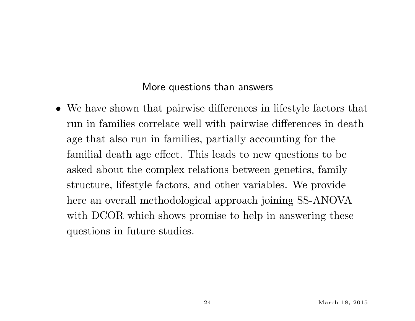#### More questions than answers

• We have shown that pairwise differences in lifestyle factors that run in families correlate well with pairwise differences in death age that also run in families, partially accounting for the familial death age effect. This leads to new questions to be asked about the complex relations between genetics, family structure, lifestyle factors, and other variables. We provide here an overall methodological approach joining SS-ANOVA with DCOR which shows promise to help in answering these questions in future studies.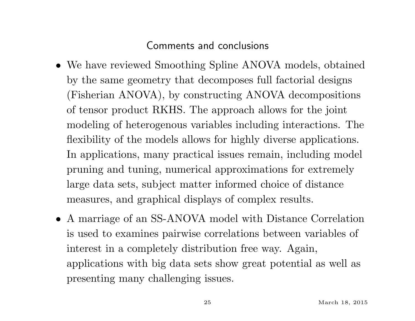#### Comments and conclusions

- We have reviewed Smoothing Spline ANOVA models, obtained by the same geometry that decomposes full factorial designs (Fisherian ANOVA), by constructing ANOVA decompositions of tensor product RKHS. The approach allows for the joint modeling of heterogenous variables including interactions. The flexibility of the models allows for highly diverse applications. In applications, many practical issues remain, including model pruning and tuning, numerical approximations for extremely large data sets, subject matter informed choice of distance measures, and graphical displays of complex results.
- A marriage of an SS-ANOVA model with Distance Correlation is used to examines pairwise correlations between variables of interest in a completely distribution free way. Again, applications with big data sets show great potential as well as presenting many challenging issues.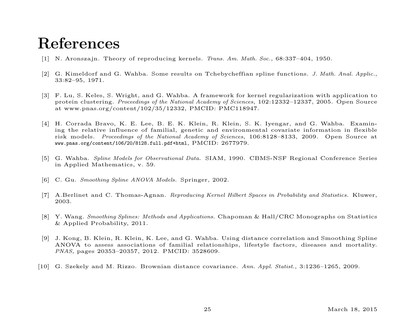## References

- [1] N. Aronszajn. Theory of reproducing kernels. Trans. Am. Math. Soc., 68:337–404, 1950.
- [2] G. Kimeldorf and G. Wahba. Some results on Tchebycheffian spline functions. J. Math. Anal. Applic., 33:82–95, 1971.
- [3] F. Lu, S. Keles, S. Wright, and G. Wahba. A framework for kernel regularization with application to protein clustering. Proceedings of the National Academy of Sciences, 102:12332–12337, 2005. Open Source at www.pnas.org/content/102/35/12332, PMCID: PMC118947.
- [4] H. Corrada Bravo, K. E. Lee, B. E. K. Klein, R. Klein, S. K. Iyengar, and G. Wahba. Examining the relative influence of familial, genetic and environmental covariate information in flexible risk models. Proceedings of the National Academy of Sciences, 106:8128–8133, 2009. Open Source at www.pnas.org/content/106/20/8128.full.pdf+html, PMCID: 2677979.
- [5] G. Wahba. Spline Models for Observational Data. SIAM, 1990. CBMS-NSF Regional Conference Series in Applied Mathematics, v. 59.
- [6] C. Gu. Smoothing Spline ANOVA Models. Springer, 2002.
- [7] A.Berlinet and C. Thomas-Agnan. Reproducing Kernel Hilbert Spaces in Probability and Statistics. Kluwer, 2003.
- [8] Y. Wang. Smoothing Splines: Methods and Applications. Chapoman & Hall/CRC Monographs on Statistics & Applied Probability, 2011.
- [9] J. Kong, B. Klein, R. Klein, K. Lee, and G. Wahba. Using distance correlation and Smoothing Spline ANOVA to assess associations of familial relationships, lifestyle factors, diseases and mortality. PNAS, pages 20353–20357, 2012. PMCID: 3528609.
- [10] G. Szekely and M. Rizzo. Brownian distance covariance. Ann. Appl. Statist., 3:1236–1265, 2009.